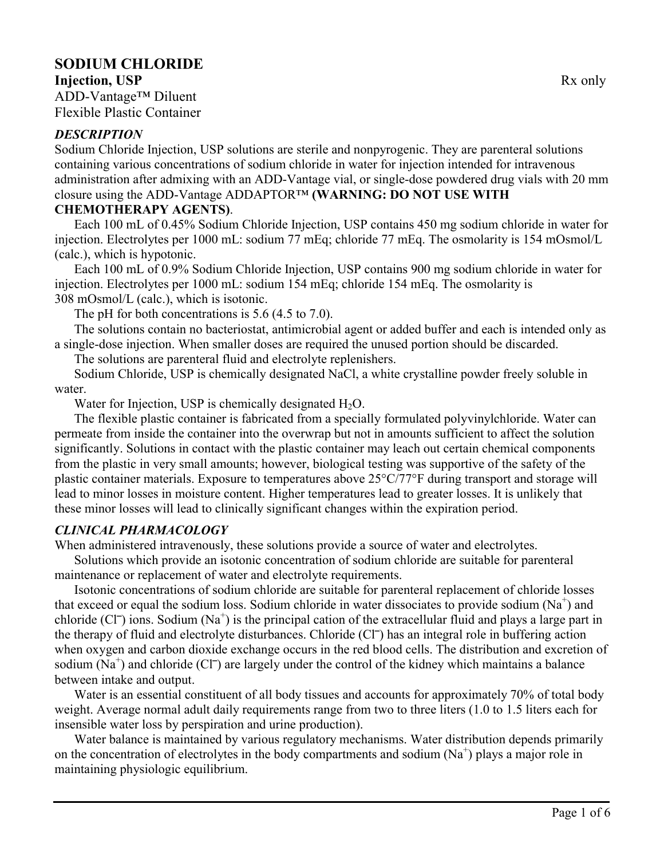# **SODIUM CHLORIDE**

**Injection, USP** Rx only ADD-Vantage™ Diluent Flexible Plastic Container

#### *DESCRIPTION*

Sodium Chloride Injection, USP solutions are sterile and nonpyrogenic. They are parenteral solutions containing various concentrations of sodium chloride in water for injection intended for intravenous administration after admixing with an ADD-Vantage vial, or single-dose powdered drug vials with 20 mm closure using the ADD-Vantage ADDAPTOR™ **(WARNING: DO NOT USE WITH** 

#### **CHEMOTHERAPY AGENTS)**.

Each 100 mL of 0.45% Sodium Chloride Injection, USP contains 450 mg sodium chloride in water for injection. Electrolytes per 1000 mL: sodium 77 mEq; chloride 77 mEq. The osmolarity is 154 mOsmol/L (calc.), which is hypotonic.

Each 100 mL of 0.9% Sodium Chloride Injection, USP contains 900 mg sodium chloride in water for injection. Electrolytes per 1000 mL: sodium 154 mEq; chloride 154 mEq. The osmolarity is 308 mOsmol/L (calc.), which is isotonic.

The pH for both concentrations is 5.6 (4.5 to 7.0).

The solutions contain no bacteriostat, antimicrobial agent or added buffer and each is intended only as a single-dose injection. When smaller doses are required the unused portion should be discarded.

The solutions are parenteral fluid and electrolyte replenishers.

Sodium Chloride, USP is chemically designated NaCl, a white crystalline powder freely soluble in water.

Water for Injection, USP is chemically designated  $H_2O$ .

The flexible plastic container is fabricated from a specially formulated polyvinylchloride. Water can permeate from inside the container into the overwrap but not in amounts sufficient to affect the solution significantly. Solutions in contact with the plastic container may leach out certain chemical components from the plastic in very small amounts; however, biological testing was supportive of the safety of the plastic container materials. Exposure to temperatures above 25°C/77°F during transport and storage will lead to minor losses in moisture content. Higher temperatures lead to greater losses. It is unlikely that these minor losses will lead to clinically significant changes within the expiration period.

#### *CLINICAL PHARMACOLOGY*

When administered intravenously, these solutions provide a source of water and electrolytes.

Solutions which provide an isotonic concentration of sodium chloride are suitable for parenteral maintenance or replacement of water and electrolyte requirements.

Isotonic concentrations of sodium chloride are suitable for parenteral replacement of chloride losses that exceed or equal the sodium loss. Sodium chloride in water dissociates to provide sodium  $(Na^+)$  and chloride  $(C\Gamma)$  ions. Sodium  $(Na^+)$  is the principal cation of the extracellular fluid and plays a large part in the therapy of fluid and electrolyte disturbances. Chloride (Cl<sup>-</sup>) has an integral role in buffering action when oxygen and carbon dioxide exchange occurs in the red blood cells. The distribution and excretion of sodium  $(Na^+)$  and chloride  $(CI^-)$  are largely under the control of the kidney which maintains a balance between intake and output.

Water is an essential constituent of all body tissues and accounts for approximately 70% of total body weight. Average normal adult daily requirements range from two to three liters (1.0 to 1.5 liters each for insensible water loss by perspiration and urine production).

Water balance is maintained by various regulatory mechanisms. Water distribution depends primarily on the concentration of electrolytes in the body compartments and sodium  $(Na^+)$  plays a major role in maintaining physiologic equilibrium.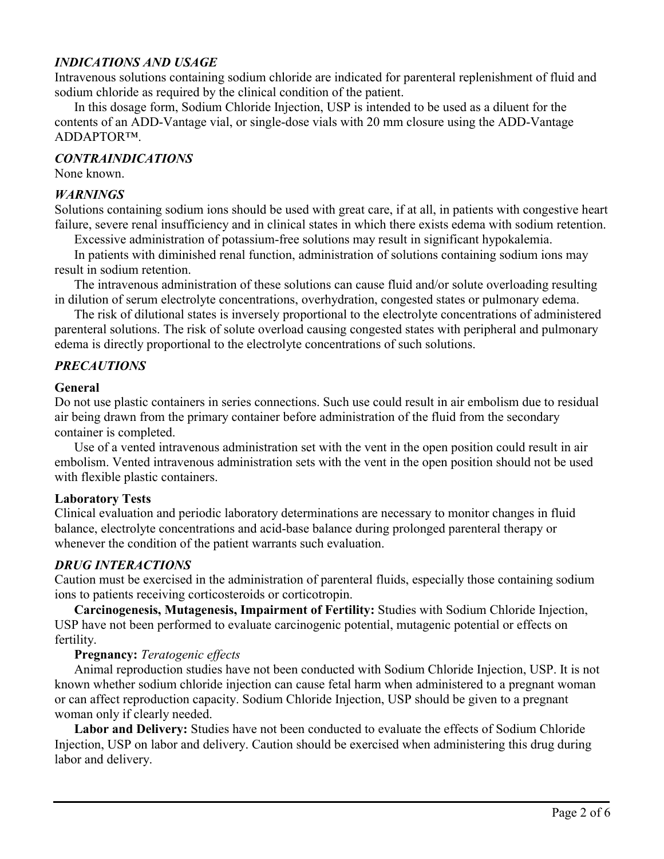#### *INDICATIONS AND USAGE*

Intravenous solutions containing sodium chloride are indicated for parenteral replenishment of fluid and sodium chloride as required by the clinical condition of the patient.

In this dosage form, Sodium Chloride Injection, USP is intended to be used as a diluent for the contents of an ADD-Vantage vial, or single-dose vials with 20 mm closure using the ADD-Vantage ADDAPTOR™.

#### *CONTRAINDICATIONS*

None known.

#### *WARNINGS*

Solutions containing sodium ions should be used with great care, if at all, in patients with congestive heart failure, severe renal insufficiency and in clinical states in which there exists edema with sodium retention.

Excessive administration of potassium-free solutions may result in significant hypokalemia.

In patients with diminished renal function, administration of solutions containing sodium ions may result in sodium retention.

The intravenous administration of these solutions can cause fluid and/or solute overloading resulting in dilution of serum electrolyte concentrations, overhydration, congested states or pulmonary edema.

The risk of dilutional states is inversely proportional to the electrolyte concentrations of administered parenteral solutions. The risk of solute overload causing congested states with peripheral and pulmonary edema is directly proportional to the electrolyte concentrations of such solutions.

#### *PRECAUTIONS*

#### **General**

Do not use plastic containers in series connections. Such use could result in air embolism due to residual air being drawn from the primary container before administration of the fluid from the secondary container is completed.

Use of a vented intravenous administration set with the vent in the open position could result in air embolism. Vented intravenous administration sets with the vent in the open position should not be used with flexible plastic containers.

#### **Laboratory Tests**

Clinical evaluation and periodic laboratory determinations are necessary to monitor changes in fluid balance, electrolyte concentrations and acid-base balance during prolonged parenteral therapy or whenever the condition of the patient warrants such evaluation.

#### *DRUG INTERACTIONS*

Caution must be exercised in the administration of parenteral fluids, especially those containing sodium ions to patients receiving corticosteroids or corticotropin.

**Carcinogenesis, Mutagenesis, Impairment of Fertility:** Studies with Sodium Chloride Injection, USP have not been performed to evaluate carcinogenic potential, mutagenic potential or effects on fertility.

#### **Pregnancy:** *Teratogenic effects*

Animal reproduction studies have not been conducted with Sodium Chloride Injection, USP. It is not known whether sodium chloride injection can cause fetal harm when administered to a pregnant woman or can affect reproduction capacity. Sodium Chloride Injection, USP should be given to a pregnant woman only if clearly needed.

**Labor and Delivery:** Studies have not been conducted to evaluate the effects of Sodium Chloride Injection, USP on labor and delivery. Caution should be exercised when administering this drug during labor and delivery.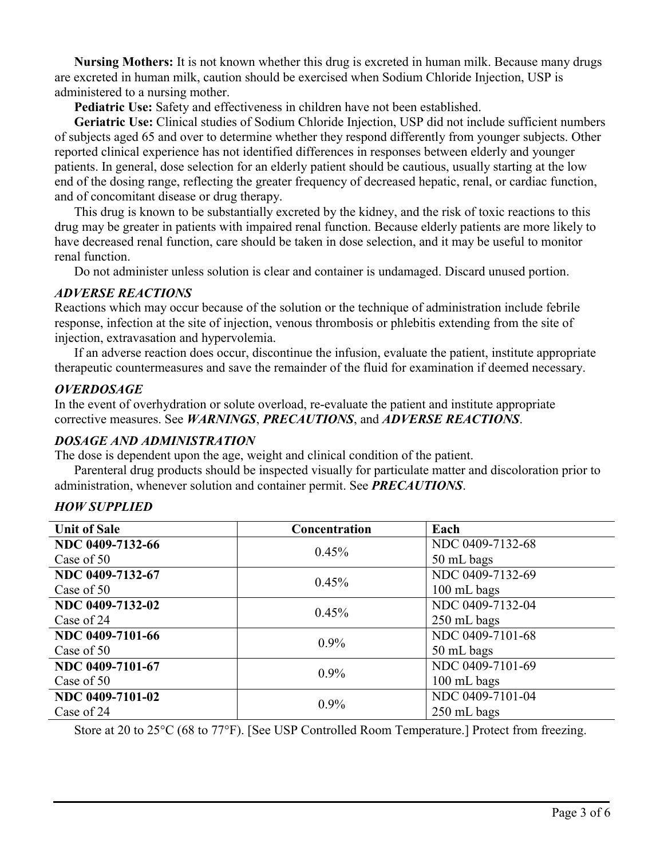**Nursing Mothers:** It is not known whether this drug is excreted in human milk. Because many drugs are excreted in human milk, caution should be exercised when Sodium Chloride Injection, USP is administered to a nursing mother.

**Pediatric Use:** Safety and effectiveness in children have not been established.

**Geriatric Use:** Clinical studies of Sodium Chloride Injection, USP did not include sufficient numbers of subjects aged 65 and over to determine whether they respond differently from younger subjects. Other reported clinical experience has not identified differences in responses between elderly and younger patients. In general, dose selection for an elderly patient should be cautious, usually starting at the low end of the dosing range, reflecting the greater frequency of decreased hepatic, renal, or cardiac function, and of concomitant disease or drug therapy.

This drug is known to be substantially excreted by the kidney, and the risk of toxic reactions to this drug may be greater in patients with impaired renal function. Because elderly patients are more likely to have decreased renal function, care should be taken in dose selection, and it may be useful to monitor renal function.

Do not administer unless solution is clear and container is undamaged. Discard unused portion.

#### *ADVERSE REACTIONS*

Reactions which may occur because of the solution or the technique of administration include febrile response, infection at the site of injection, venous thrombosis or phlebitis extending from the site of injection, extravasation and hypervolemia.

If an adverse reaction does occur, discontinue the infusion, evaluate the patient, institute appropriate therapeutic countermeasures and save the remainder of the fluid for examination if deemed necessary.

#### *OVERDOSAGE*

In the event of overhydration or solute overload, re-evaluate the patient and institute appropriate corrective measures. See *WARNINGS*, *PRECAUTIONS*, and *ADVERSE REACTIONS*.

#### *DOSAGE AND ADMINISTRATION*

The dose is dependent upon the age, weight and clinical condition of the patient.

Parenteral drug products should be inspected visually for particulate matter and discoloration prior to administration, whenever solution and container permit. See *PRECAUTIONS*.

| <b>Unit of Sale</b> | Concentration | Each             |
|---------------------|---------------|------------------|
| NDC 0409-7132-66    | 0.45%         | NDC 0409-7132-68 |
| Case of 50          |               | 50 mL bags       |
| NDC 0409-7132-67    | 0.45%         | NDC 0409-7132-69 |
| Case of 50          |               | 100 mL bags      |
| NDC 0409-7132-02    | 0.45%         | NDC 0409-7132-04 |
| Case of 24          |               | 250 mL bags      |
| NDC 0409-7101-66    | $0.9\%$       | NDC 0409-7101-68 |
| Case of 50          |               | 50 mL bags       |
| NDC 0409-7101-67    | $0.9\%$       | NDC 0409-7101-69 |
| Case of 50          |               | 100 mL bags      |
| NDC 0409-7101-02    | $0.9\%$       | NDC 0409-7101-04 |
| Case of 24          |               | 250 mL bags      |

# $H$

Store at 20 to 25°C (68 to 77°F). [See USP Controlled Room Temperature.] Protect from freezing.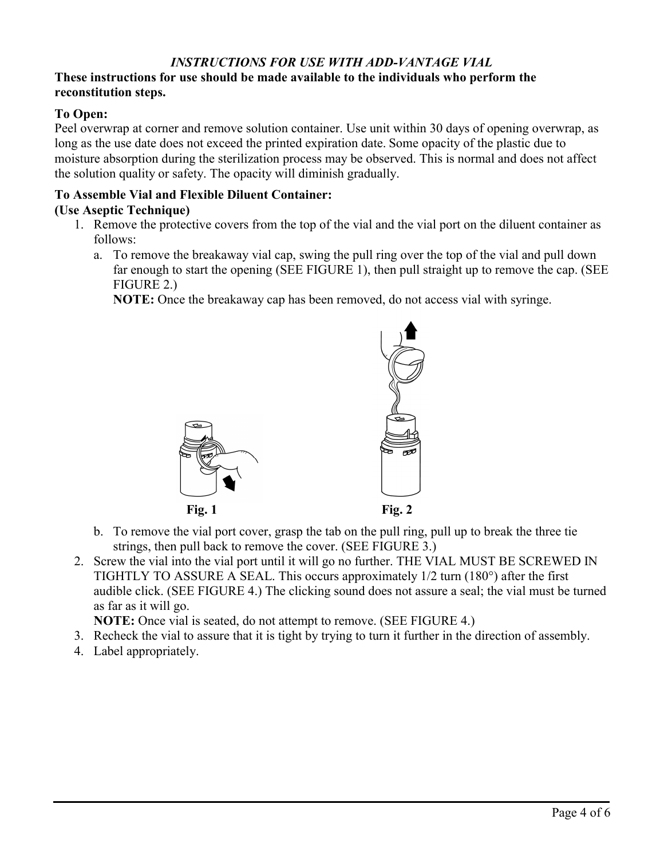### *INSTRUCTIONS FOR USE WITH ADD-VANTAGE VIAL*

#### **These instructions for use should be made available to the individuals who perform the reconstitution steps.**

#### **To Open:**

Peel overwrap at corner and remove solution container. Use unit within 30 days of opening overwrap, as long as the use date does not exceed the printed expiration date. Some opacity of the plastic due to moisture absorption during the sterilization process may be observed. This is normal and does not affect the solution quality or safety. The opacity will diminish gradually.

#### **To Assemble Vial and Flexible Diluent Container: (Use Aseptic Technique)**

- 1. Remove the protective covers from the top of the vial and the vial port on the diluent container as follows:
	- a. To remove the breakaway vial cap, swing the pull ring over the top of the vial and pull down far enough to start the opening (SEE FIGURE 1), then pull straight up to remove the cap. (SEE FIGURE 2.)

**NOTE:** Once the breakaway cap has been removed, do not access vial with syringe.



- b. To remove the vial port cover, grasp the tab on the pull ring, pull up to break the three tie strings, then pull back to remove the cover. (SEE FIGURE 3.)
- 2. Screw the vial into the vial port until it will go no further. THE VIAL MUST BE SCREWED IN TIGHTLY TO ASSURE A SEAL. This occurs approximately 1/2 turn (180°) after the first audible click. (SEE FIGURE 4.) The clicking sound does not assure a seal; the vial must be turned as far as it will go.

**NOTE:** Once vial is seated, do not attempt to remove. (SEE FIGURE 4.)

- 3. Recheck the vial to assure that it is tight by trying to turn it further in the direction of assembly.
- 4. Label appropriately.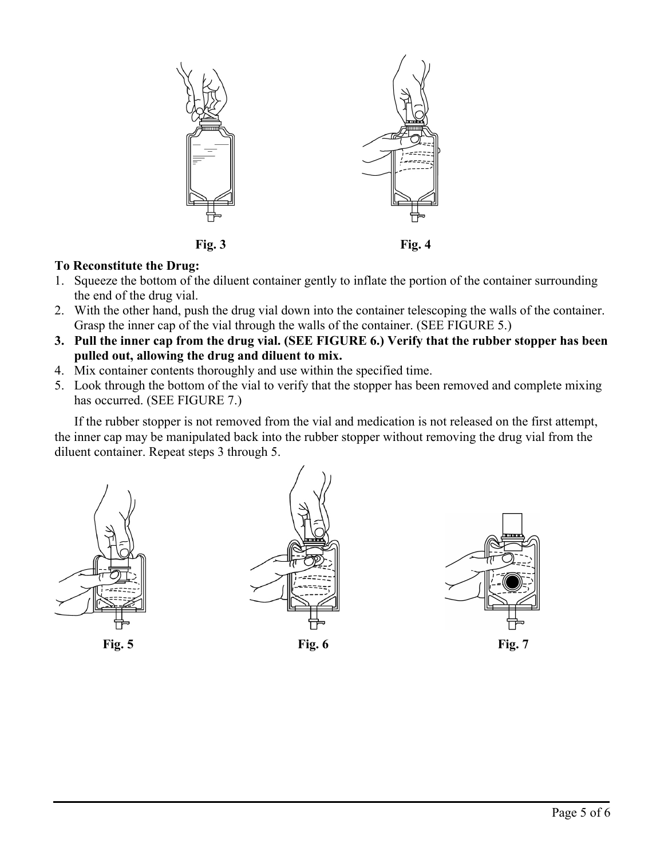

#### **To Reconstitute the Drug:**

- 1. Squeeze the bottom of the diluent container gently to inflate the portion of the container surrounding the end of the drug vial.
- 2. With the other hand, push the drug vial down into the container telescoping the walls of the container. Grasp the inner cap of the vial through the walls of the container. (SEE FIGURE 5.)
- **3. Pull the inner cap from the drug vial. (SEE FIGURE 6.) Verify that the rubber stopper has been pulled out, allowing the drug and diluent to mix.**
- 4. Mix container contents thoroughly and use within the specified time.
- 5. Look through the bottom of the vial to verify that the stopper has been removed and complete mixing has occurred. (SEE FIGURE 7.)

If the rubber stopper is not removed from the vial and medication is not released on the first attempt, the inner cap may be manipulated back into the rubber stopper without removing the drug vial from the diluent container. Repeat steps 3 through 5.